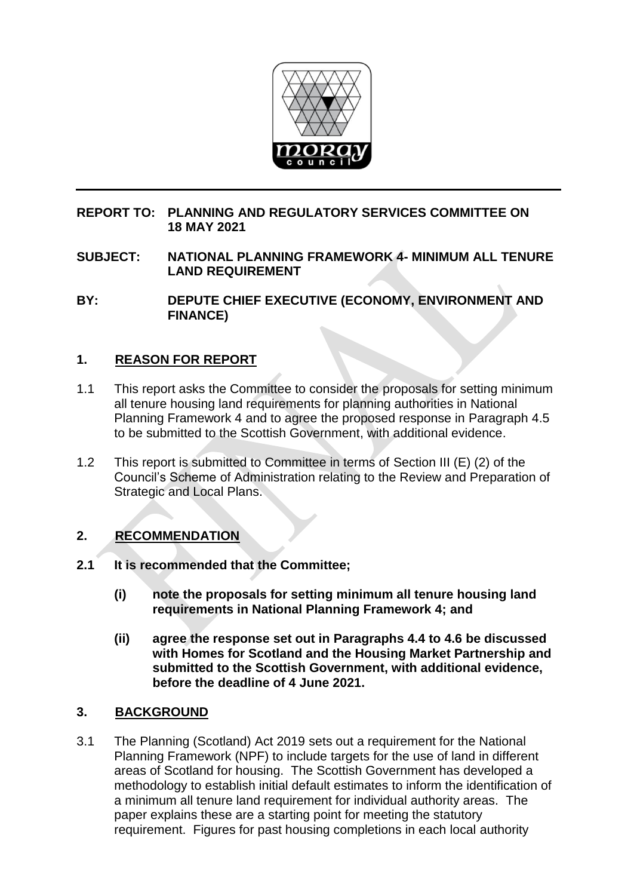

## **REPORT TO: PLANNING AND REGULATORY SERVICES COMMITTEE ON 18 MAY 2021**

**SUBJECT: NATIONAL PLANNING FRAMEWORK 4- MINIMUM ALL TENURE LAND REQUIREMENT**

**BY: DEPUTE CHIEF EXECUTIVE (ECONOMY, ENVIRONMENT AND FINANCE)**

## **1. REASON FOR REPORT**

- 1.1 This report asks the Committee to consider the proposals for setting minimum all tenure housing land requirements for planning authorities in National Planning Framework 4 and to agree the proposed response in Paragraph 4.5 to be submitted to the Scottish Government, with additional evidence.
- 1.2 This report is submitted to Committee in terms of Section III (E) (2) of the Council's Scheme of Administration relating to the Review and Preparation of Strategic and Local Plans.

## **2. RECOMMENDATION**

- **2.1 It is recommended that the Committee;**
	- **(i) note the proposals for setting minimum all tenure housing land requirements in National Planning Framework 4; and**
	- **(ii) agree the response set out in Paragraphs 4.4 to 4.6 be discussed with Homes for Scotland and the Housing Market Partnership and submitted to the Scottish Government, with additional evidence, before the deadline of 4 June 2021.**

## **3. BACKGROUND**

3.1 The Planning (Scotland) Act 2019 sets out a requirement for the National Planning Framework (NPF) to include targets for the use of land in different areas of Scotland for housing. The Scottish Government has developed a methodology to establish initial default estimates to inform the identification of a minimum all tenure land requirement for individual authority areas. The paper explains these are a starting point for meeting the statutory requirement. Figures for past housing completions in each local authority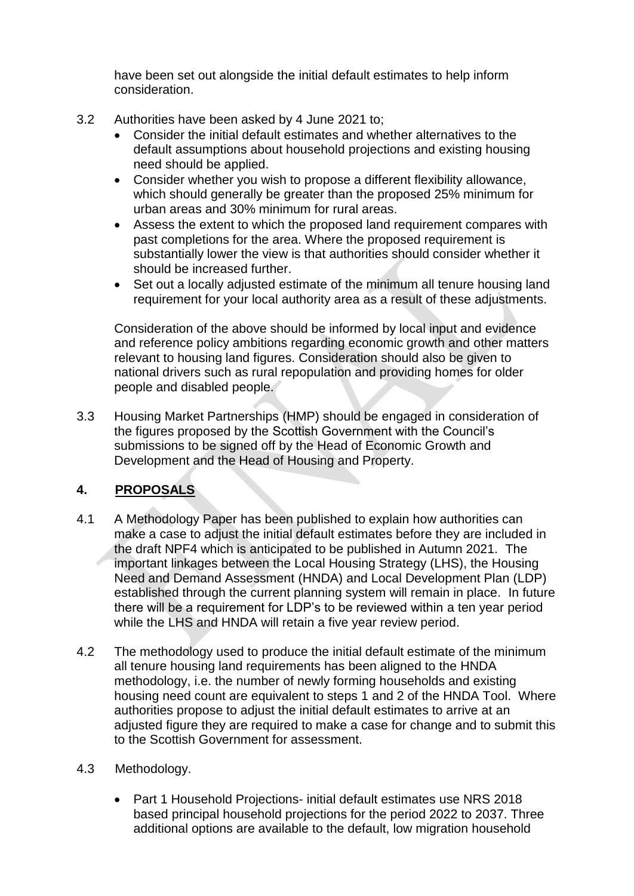have been set out alongside the initial default estimates to help inform consideration.

- 3.2 Authorities have been asked by 4 June 2021 to;
	- Consider the initial default estimates and whether alternatives to the default assumptions about household projections and existing housing need should be applied.
	- Consider whether you wish to propose a different flexibility allowance, which should generally be greater than the proposed 25% minimum for urban areas and 30% minimum for rural areas.
	- Assess the extent to which the proposed land requirement compares with past completions for the area. Where the proposed requirement is substantially lower the view is that authorities should consider whether it should be increased further.
	- Set out a locally adjusted estimate of the minimum all tenure housing land requirement for your local authority area as a result of these adjustments.

Consideration of the above should be informed by local input and evidence and reference policy ambitions regarding economic growth and other matters relevant to housing land figures. Consideration should also be given to national drivers such as rural repopulation and providing homes for older people and disabled people.

3.3 Housing Market Partnerships (HMP) should be engaged in consideration of the figures proposed by the Scottish Government with the Council's submissions to be signed off by the Head of Economic Growth and Development and the Head of Housing and Property.

# **4. PROPOSALS**

- 4.1 A Methodology Paper has been published to explain how authorities can make a case to adjust the initial default estimates before they are included in the draft NPF4 which is anticipated to be published in Autumn 2021. The important linkages between the Local Housing Strategy (LHS), the Housing Need and Demand Assessment (HNDA) and Local Development Plan (LDP) established through the current planning system will remain in place. In future there will be a requirement for LDP's to be reviewed within a ten year period while the LHS and HNDA will retain a five year review period.
- 4.2 The methodology used to produce the initial default estimate of the minimum all tenure housing land requirements has been aligned to the HNDA methodology, i.e. the number of newly forming households and existing housing need count are equivalent to steps 1 and 2 of the HNDA Tool. Where authorities propose to adjust the initial default estimates to arrive at an adjusted figure they are required to make a case for change and to submit this to the Scottish Government for assessment.
- 4.3 Methodology.
	- Part 1 Household Projections- initial default estimates use NRS 2018 based principal household projections for the period 2022 to 2037. Three additional options are available to the default, low migration household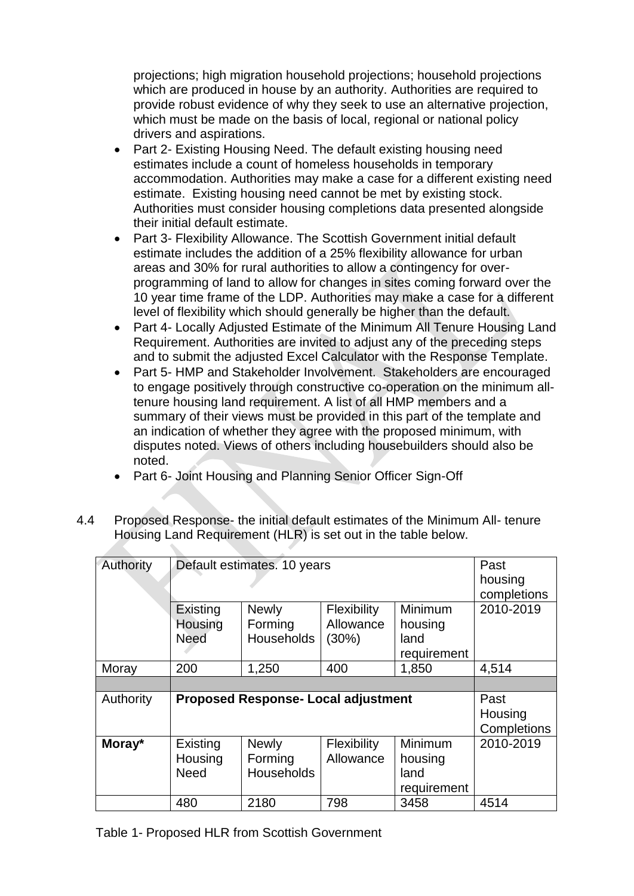projections; high migration household projections; household projections which are produced in house by an authority. Authorities are required to provide robust evidence of why they seek to use an alternative projection, which must be made on the basis of local, regional or national policy drivers and aspirations.

- Part 2- Existing Housing Need. The default existing housing need estimates include a count of homeless households in temporary accommodation. Authorities may make a case for a different existing need estimate. Existing housing need cannot be met by existing stock. Authorities must consider housing completions data presented alongside their initial default estimate.
- Part 3- Flexibility Allowance. The Scottish Government initial default estimate includes the addition of a 25% flexibility allowance for urban areas and 30% for rural authorities to allow a contingency for overprogramming of land to allow for changes in sites coming forward over the 10 year time frame of the LDP. Authorities may make a case for a different level of flexibility which should generally be higher than the default.
- Part 4- Locally Adjusted Estimate of the Minimum All Tenure Housing Land Requirement. Authorities are invited to adjust any of the preceding steps and to submit the adjusted Excel Calculator with the Response Template.
- Part 5- HMP and Stakeholder Involvement. Stakeholders are encouraged to engage positively through constructive co-operation on the minimum alltenure housing land requirement. A list of all HMP members and a summary of their views must be provided in this part of the template and an indication of whether they agree with the proposed minimum, with disputes noted. Views of others including housebuilders should also be noted.
- Part 6- Joint Housing and Planning Senior Officer Sign-Off
- 4.4 Proposed Response- the initial default estimates of the Minimum All- tenure Housing Land Requirement (HLR) is set out in the table below.

| Authority | Default estimates. 10 years                |                                              |                                             |                                           | Past<br>housing<br>completions |
|-----------|--------------------------------------------|----------------------------------------------|---------------------------------------------|-------------------------------------------|--------------------------------|
|           | Existing<br>Housing<br><b>Need</b>         | <b>Newly</b><br>Forming<br><b>Households</b> | <b>Flexibility</b><br>Allowance<br>$(30\%)$ | Minimum<br>housing<br>land<br>requirement | 2010-2019                      |
| Moray     | 200                                        | 1,250                                        | 400                                         | 1,850                                     | 4,514                          |
|           |                                            |                                              |                                             |                                           |                                |
| Authority | <b>Proposed Response- Local adjustment</b> |                                              |                                             |                                           | Past<br>Housing<br>Completions |
| Moray*    | Existing<br>Housing<br><b>Need</b>         | <b>Newly</b><br>Forming<br><b>Households</b> | <b>Flexibility</b><br>Allowance             | Minimum<br>housing<br>land<br>requirement | 2010-2019                      |
|           | 480                                        | 2180                                         | 798                                         | 3458                                      | 4514                           |

Table 1- Proposed HLR from Scottish Government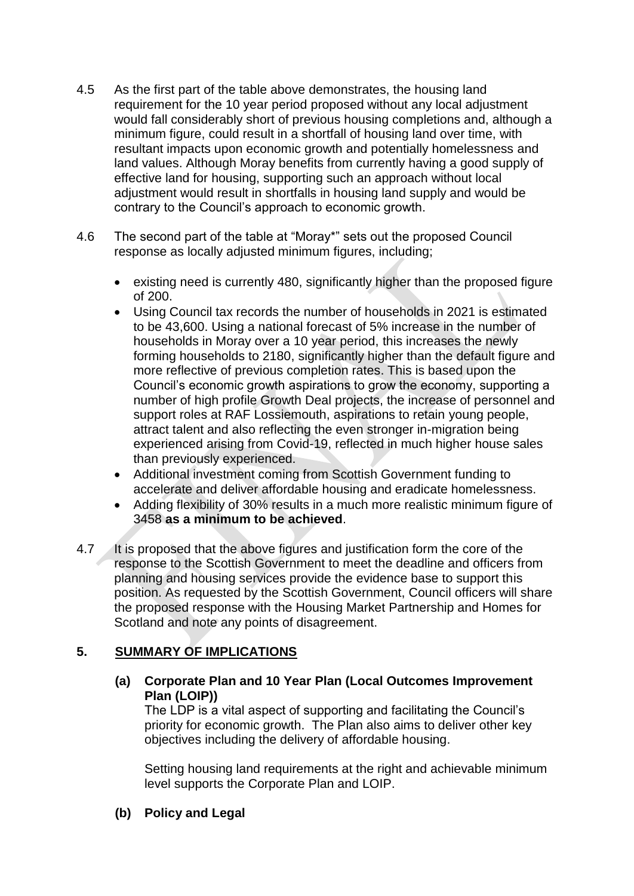- 4.5 As the first part of the table above demonstrates, the housing land requirement for the 10 year period proposed without any local adjustment would fall considerably short of previous housing completions and, although a minimum figure, could result in a shortfall of housing land over time, with resultant impacts upon economic growth and potentially homelessness and land values. Although Moray benefits from currently having a good supply of effective land for housing, supporting such an approach without local adjustment would result in shortfalls in housing land supply and would be contrary to the Council's approach to economic growth.
- 4.6 The second part of the table at "Moray\*" sets out the proposed Council response as locally adjusted minimum figures, including;
	- existing need is currently 480, significantly higher than the proposed figure of 200.
	- Using Council tax records the number of households in 2021 is estimated to be 43,600. Using a national forecast of 5% increase in the number of households in Moray over a 10 year period, this increases the newly forming households to 2180, significantly higher than the default figure and more reflective of previous completion rates. This is based upon the Council's economic growth aspirations to grow the economy, supporting a number of high profile Growth Deal projects, the increase of personnel and support roles at RAF Lossiemouth, aspirations to retain young people, attract talent and also reflecting the even stronger in-migration being experienced arising from Covid-19, reflected in much higher house sales than previously experienced.
	- Additional investment coming from Scottish Government funding to accelerate and deliver affordable housing and eradicate homelessness.
	- Adding flexibility of 30% results in a much more realistic minimum figure of 3458 **as a minimum to be achieved**.
- 4.7 It is proposed that the above figures and justification form the core of the response to the Scottish Government to meet the deadline and officers from planning and housing services provide the evidence base to support this position. As requested by the Scottish Government, Council officers will share the proposed response with the Housing Market Partnership and Homes for Scotland and note any points of disagreement.

# **5. SUMMARY OF IMPLICATIONS**

### **(a) Corporate Plan and 10 Year Plan (Local Outcomes Improvement Plan (LOIP))**

The LDP is a vital aspect of supporting and facilitating the Council's priority for economic growth. The Plan also aims to deliver other key objectives including the delivery of affordable housing.

Setting housing land requirements at the right and achievable minimum level supports the Corporate Plan and LOIP.

**(b) Policy and Legal**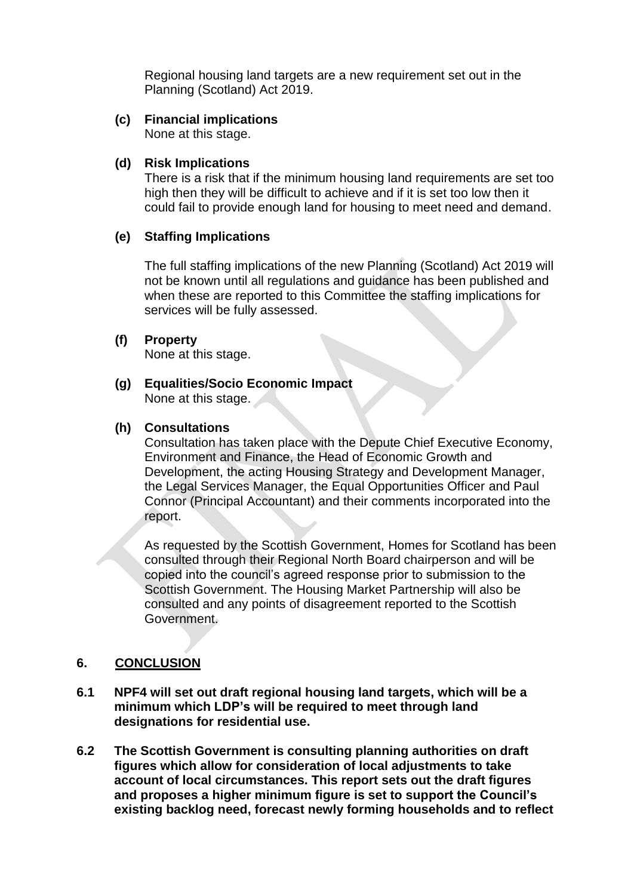Regional housing land targets are a new requirement set out in the Planning (Scotland) Act 2019.

#### **(c) Financial implications**

None at this stage.

#### **(d) Risk Implications**

There is a risk that if the minimum housing land requirements are set too high then they will be difficult to achieve and if it is set too low then it could fail to provide enough land for housing to meet need and demand.

#### **(e) Staffing Implications**

The full staffing implications of the new Planning (Scotland) Act 2019 will not be known until all regulations and guidance has been published and when these are reported to this Committee the staffing implications for services will be fully assessed.

#### **(f) Property**

None at this stage.

# **(g) Equalities/Socio Economic Impact**

None at this stage.

#### **(h) Consultations**

Consultation has taken place with the Depute Chief Executive Economy, Environment and Finance, the Head of Economic Growth and Development, the acting Housing Strategy and Development Manager, the Legal Services Manager, the Equal Opportunities Officer and Paul Connor (Principal Accountant) and their comments incorporated into the report.

As requested by the Scottish Government, Homes for Scotland has been consulted through their Regional North Board chairperson and will be copied into the council's agreed response prior to submission to the Scottish Government. The Housing Market Partnership will also be consulted and any points of disagreement reported to the Scottish Government.

#### **6. CONCLUSION**

- **6.1 NPF4 will set out draft regional housing land targets, which will be a minimum which LDP's will be required to meet through land designations for residential use.**
- **6.2 The Scottish Government is consulting planning authorities on draft figures which allow for consideration of local adjustments to take account of local circumstances. This report sets out the draft figures and proposes a higher minimum figure is set to support the Council's existing backlog need, forecast newly forming households and to reflect**